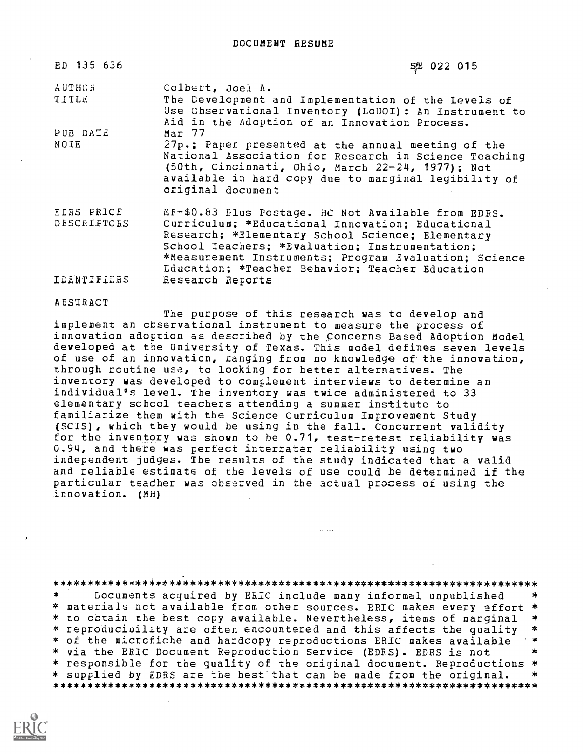| ED 135 636                | S/E 022 015                                                                                                                                                                                                                                                                                                               |
|---------------------------|---------------------------------------------------------------------------------------------------------------------------------------------------------------------------------------------------------------------------------------------------------------------------------------------------------------------------|
| AUTHOS                    | Colbert, Joel A.                                                                                                                                                                                                                                                                                                          |
| TIILE                     | The Development and Implementation of the Levels of<br>Use Cbservational Inventory (LoUOI): An Instrument to<br>Aid in the Adoption of an Innovation Process.                                                                                                                                                             |
| PUB DATE                  | Mar 77                                                                                                                                                                                                                                                                                                                    |
| NOIE                      | 27p.; Paper presented at the annual meeting of the<br>National Association for Research in Science Teaching<br>(50th, Cincinnati, Ohio, March 22-24, 1977); Not<br>available in hard copy due to marginal legibility of<br>original document                                                                              |
| EDRS PRICE<br>DESCRIFTORS | MF-\$0.83 Plus Postage. HC Not Available from EDRS.<br>Curriculum; *Educational Innovation; Educational<br>Research; *Elementary School Science; Elementary<br>School Teachers; *Evaluation; Instrumentation;<br>*Measurement Instruments; Program Evaluation; Science<br>Education; *Teacher Behavior; Teacher Education |

IDENTIFIERS Research Reports

#### ABSTRACT

The purpose of this research was to develop and implement an observational instrument to measure the process of innovation adoption as described by the concerns Based Adoption Model developed at the University of Texas. This model defines seven levels of use of an innovation, ranging from no knowledge of the innovation, through routine use, to locking for better alternatives. The inventory was developed to complement interviews to determine an individual's level. The inventory was twice administered to 33 elementary school teachers attending a summer institute to familiarize them with the Science Curriculum Improvement Study (SCIS) , which they would be using in the fall. Concurrent validity for the inventory was shown to be 0.71, test-retest reliability was 0.94, and there was pertect interrater reliability using two independent judges. The results of the study indicated that a valid and reliable estimate of the levels of use could be determined if the particular teadher was observed in the actual process of using the innovation. (MH)

\*\*\*\*\*\*\*\*\*\*\*\*\*\*4\*\*\*\*\*\*\*\*\*\*\*\*\*\*\*\*\*\*\*\*\*\*\*\*\*A\*\*\*\*\*\*\*\*\*\*\*\*\*\*\*\*\*\*\*\*\*\*\*\*\*\*\*\*\*\* \* Documents acquired by ERIC include many informal unpublished \* materials not available from other sources. ERIC makes every effort \* \* to obtain the best coFy available. Nevertheless, items of marginal \* \* reproducibility are often encountered and this affects the quality \* \* of the microfiche and hardcopy reproductions ERIC makes available '\* \* via the ERIC Document Reproduction Service (EDRS). EDRS is not \* responsible for the quality of the original document. Reproductions \* \* supplied by EDRS are the best that can be made from the original. \* \*\*\*\*\*\*\*\*\*\*\*\*\*\*\*\*\*\*\*\*\*\*\*\*\*\*\*\*\*\*\*\*\*\*\*\*\*\*\*\*\*\*\*\*\*\*\*\*\*\*\*\*\*\*\*\*\*\*\*\*\*\*\*\*\*\*\*\*\*\*\*

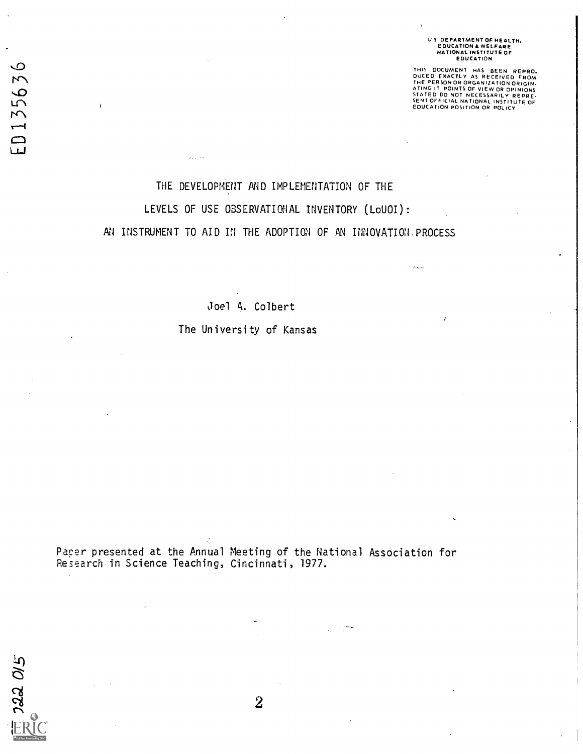# U S. DEPARTMENT OF HEALTH, EDUCATION & WELFARE NATIONAL INSTITUTE OF EDUCATION

THIS DOCUMENT HAS BEEN REPRO.<br>DUCED EXACTLY AS RECEIVED FROM<br>THE PERSONORORORANIZATIONORIGIN.<br>ATING IT POINTS OF VIEW OR OPINIONS<br>SENTOPPICIAL NATIONAL INSTITUTE OF<br>SENTOFPICIAL NATIONAL INSTITUTE OF<br>EDUCATION POSITION OR

## THE DEVELOPMENT AND IMPLEMENTATION OF THE LEVELS OF USE OBSERVATIONAL INVENTORY (LoUOI): AN INSTRUMENT TO AID IN THE ADOPTION OF AN INNOVATION PROCESS

Joel A. Colbert

 $\hat{\rho}_{\rm eff}$  , , , , ,

 $\mathcal{Q}$  $\sum$ 

1356

**222 0/5** 

The University of Kansas

Paper presented at the Annual Meeting of the National Association for Research in Science Teaching, Cincinnati, 1977.

 $\overline{2}$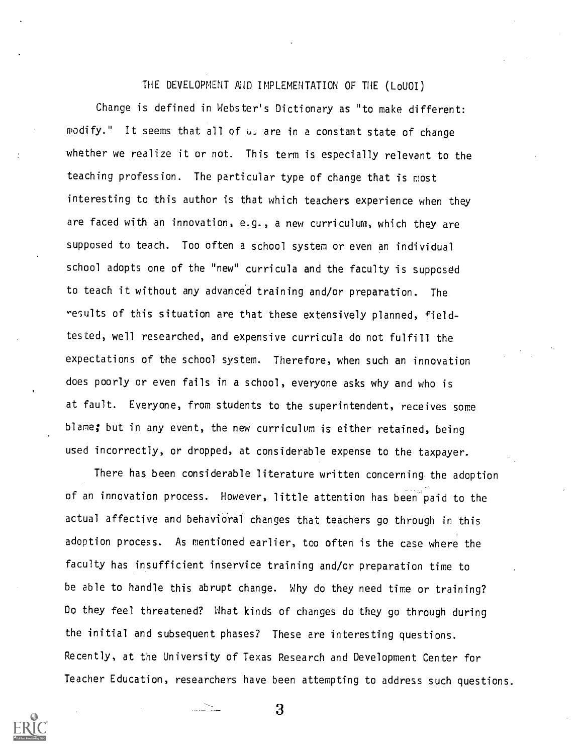#### THE DEVELOPMENT AID IMPLEMENTATION OF THE (LoUOI)

Change is defined in Webster's Dictionary as "to make different: modify." It seems that all of us are in a constant state of change whether we realize it or not. This term is especially relevant to the teaching profession. The particular type of change that is most interesting to this author is that which teachers experience when they are faced with an innovation, e.g., a new curriculum, which they are supposed to teach. Too often a school system or even an individual school adopts one of the "new" curricula and the faculty is supposdd to teach it without any advanced training and/or preparation. The -esults of this situation are that these extensively planned, fieldtested, well researched, and expensive curricula do not fulfill the expectations of the school system. Therefore, when such an innovation does poorly or even fails in a school, everyone asks why and who is at fault. Everyone, from students to the superintendent, receives some blame; but in any event, the new curriculum is either retained, being used incorrectly, or dropped, at considerable expense to the taxpayer.

There has been considerable literature written concerning the adoption of an innovation process. However, little attention has been paid to the actual affective and behavioral changes that teachers go through in this adoption process. As mentioned earlier, too often is the case where the faculty has insufficient inservice training and/or preparation time to be able to handle this abrupt change. Why do they need time or training? Do they feel threatened? What kinds of changes do they go through during the initial and subsequent phases? These are interesting questions. Recently, at the University of Texas Research and Development Center for Teacher Education, researchers have been attempting to address such questions.

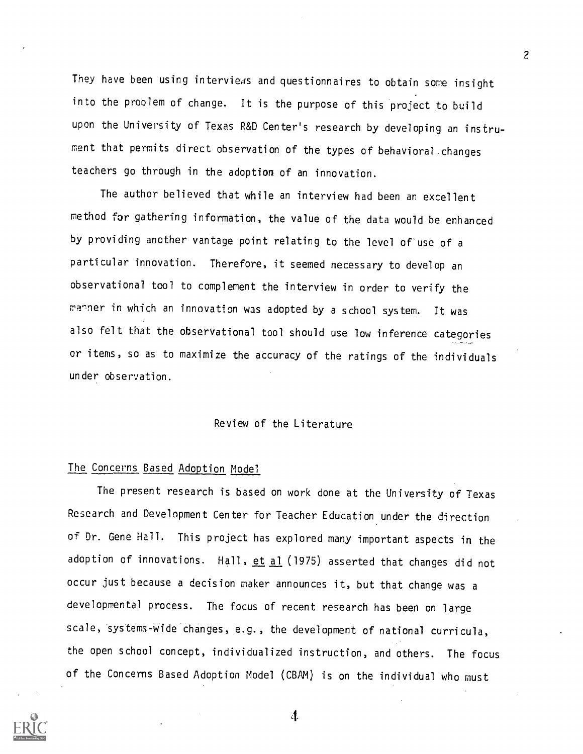They have been using interviews and questionnaires to obtain some insight into the problem of change. It is the purpose of this project to build upon the University of Texas R&D Center's research by developing an instrument that permits direct observation of the types of behavioral.changes teachers go through in the adoption of an innovation.

The author believed that while an interview had been an excellent method for gathering information, the value of the data would be enhanced by providing another vantage point relating to the level of use of a particular innovation. Therefore, it seemed necessary to develop an observational tool to complement the interview in order to verify the manner in which an innovation was adopted by a school system. It was also felt that the observational tool should use low inference categories or items, so as to maximize the accuracy of the ratings of the individuals under observation.

#### Review of the Literature

#### The Concerns Based Adoption Model

The present research is based on work done at the University of Texas Research and Development Center for Teacher Education under the direction of Dr. Gene Hall. This project has explored many important aspects in the adoption of innovations. Hall, et al (1975) asserted that changes did not occur just because a decision maker announces it, but that change was a developmental process. The focus of recent research has been on large scale, systems-wide changes, e.g., the development of national curricula, the open school concept, individualized instruction, and others. The focus of the Concerns Based Adoption Model (CBAM) is on the individual who must



4.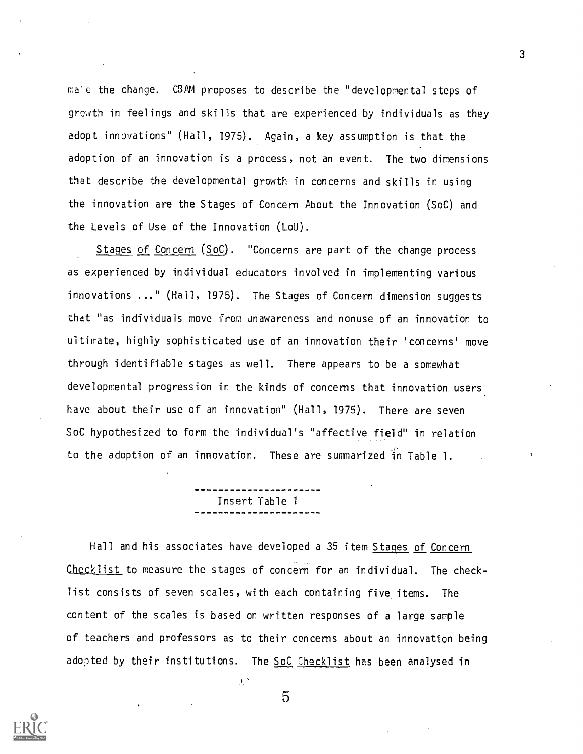ma'e the change. CBAM proposes to describe the "developmental steps of growth in feelings and skills that are experienced by individuals as they adopt innovations" (Hall, 1975). Again, a key assumption is that the adoption of an innovation is a process, not an event. The two dimensions that describe the developmental growth in concerns and skills in using the innovation are the Stages of Concern About the Innovation (SoC) and the Levels of Use of the Innovation (Loll).

Stages of Concern (SoC). "Concerns are part of the change process as experienced by individual educators involved in implementing various innovations ..." (Hall, 1975). The Stages of Concern dimension suggests thdt "as individuals move from unawareness and nonuse of an innovation to ultimate, highly sophisticated use of an innovation their 'concerns' move through identifiable stages as well. There appears to be a somewhat developmental progression in the kinds of concerns that innovation users have about their use of an innovation" (Hall, 1975). There are seven SoC hypothesized to form the individual's "affective field" in relation to the adoption of an innovation. These are summarized in Table 1.

Insert Table 1

Hall and his associates have developed a 35 item Stages of Concern Checklist to measure the stages of concern for an individual. The checklist consists of seven scales, with each containing five items. The content of the scales is based on written responses of a large sample of teachers and professors as to their concerns about an innovation being adopted by their institutions. The SoC Checklist has been analysed in



5

т,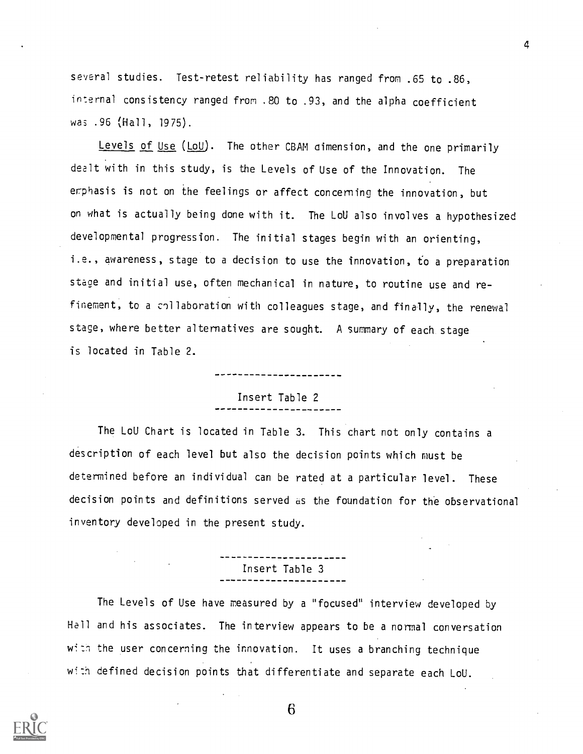several studies. Test-retest reliability has ranged from .65 to .86, internal consistency ranged from .80 to .93, and the alpha coefficient was .96 (Hall, 1975).

Levels of Use (LoU). The other CBAM dimension, and the one primarily dealt with in this study, is the Levels of Use of the Innovation. The erphasis is not on the feelings or affect concerning the innovation, but on what is actually being done with it. The LoU also involves a hypothesized developmental progression. The initial stages begin with an orienting, i.e., awareness, stage to a decision to use the innovation, to a preparation stage and initial use, often mechanical in nature, to routine use and refinement, to a collaboration with colleagues stage, and finally, the renewal stage, where better alternatives are sought. A summary of each stage is located in Table 2.

### Insert Table 2

The LoU Chart is located in Table 3. This chart not only contains a description of each level but also the decision points which must be determined before an individual can be rated at a particular level. These decision points and definitions served as the foundation for the observational inventory developed in the present study.

Insert Table 3

The Levels of Use have measured by a "focused" interview developed by Hall and his associates. The interview appears to be a normal conversation with the user concerning the innovation. It uses a branching technique Wth defined decision points that differentiate and separate each LoU.



6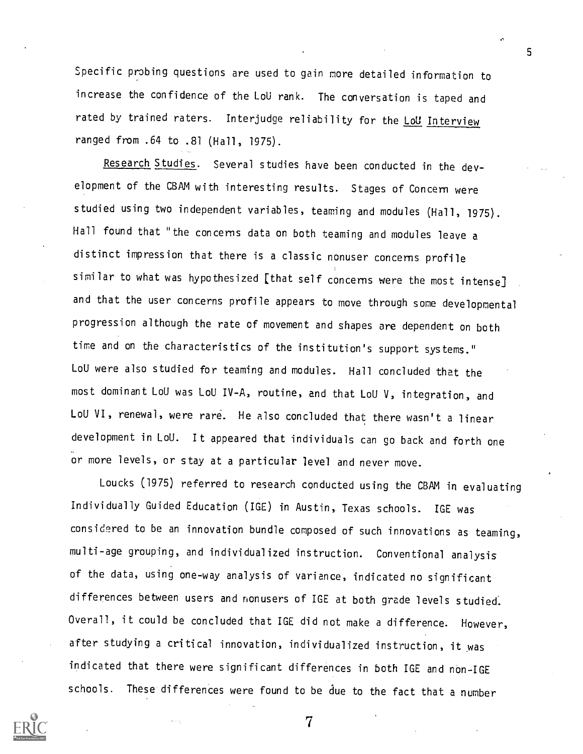Specific probing questions are used to gain more detailed information to increase the confidence of the LoU rank. The conversation is taped and rated by trained raters. Interjudge reliability for the LoU Interview ranged from .64 to .81 (Hall, 1975).

Research Studies. Several studies have been conducted in the development of the CBAM with interesting results. Stages of Concern were studied using two independent variables, teaming and modules (Hall, 1975). Hall found that "the concerns data on both teaming and modules leave <sup>a</sup> distinct impression that there is a classic nonuser concerns profile similar to what was hypothesized [that self concerns were the most intense] and that the user concerns profile appears to move through some developmental progression although the rate of movement and shapes are dependent on both time and on the characteristics of the institution's support systems." LoU were also studied for teaming and modules. Hall concluded that the most dominant LoU was LoU IV-A, routine, and that LoU V, integration, and LoU VI, renewal, were rare. He also concluded that there wasn't a linear development in LoU. It appeared that individuals can go back and forth one or more levels, or stay at a particular level and never move.

Loucks (1975) referred to research conducted using the C8AM in evaluating Individually Guided Education (IGE) in Austin, Texas schools. IGE was considered to be an innovation bundle composed of such innovations as teaming, multi-age grouping, and individualized instruction. Conventional analysis of the data, using one-way analysis of variance, indicated no significant differences between users and nonusers of IGE at both grade levels studied: Overall, it could be concluded that IGE did not make a difference. However, after studying a critical innovation, individualized instruction, it was indicated that there were significant differences in both IGE and non-IGE schools. These differences were found to be due to the fact that a number



7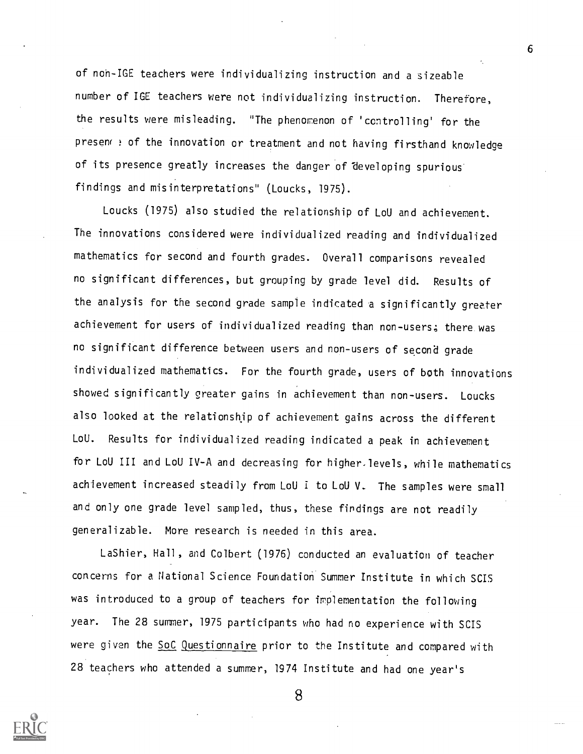of non-IGE teachers were individualizing instruction and a sizeable number of IGE teachers were not individualizing instruction. Therefore, the results were misleading. "The phenomenon of 'controlling' for the presen( ) of the innovation or treatment and not having firsthand knowledge of its presence greatly increases the danger of developing spurious findings and misinterpretations" (Loucks, 1975).

Loucks (1975) also studied the relationship of LoU and achievement. The innovations considered were individualized reading and individualized mathematics for second and fourth grades. Overall comparisons revealed no significant differences, but grouping by grade level did. Results of the analysis for the second grade sample indicated a significantly greater achievement for users of individualized reading than non-users; there was no significant difference between users and non-users of second grade individualized mathematics. For the fourth grade, users of both innovations showed significantly greater gains in achievement than non-users. Loucks also looked at the relationship of achievement gains across the different LoU. Results for individualized reading indicated a peak in achievement for LoU III and LoU IV-A and decreasing for higher. levels, while mathematics achievement increased steadily from LoU I to LoU V. The samples were small and only one grade level sampled, thus, these findings are not readily generalizable. More research is needed in this area.

LaShier, Hall, and Colbert (1976) conducted an evaluation of teacher concerns for a National Science Foundation Summer Institute in which SCIS was introduced to a group of teachers for implementation the following year. The 28 summer, 1975 participants who had no experience with SCIS were given the SoC Questionnaire prior to the Institute and compared with 28 teachers who attended a summer, 1974 Institute and had one year's



8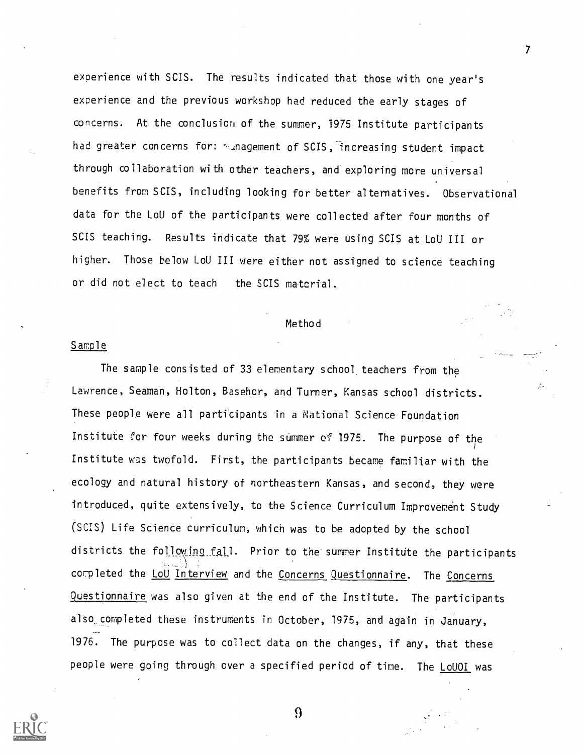experience with SCIS. The results indicated that those with one year's experience and the previous workshop had reduced the early stages of concerns. At the conclusion of the sumner, 1975 Institute participants had greater concerns for: "inagement of SCIS, increasing student impact through collaboration with other teachers, and exploring more universal benefits from SCIS, including looking for better alternatives. Observational data for the LoU of the participants were collected after four months of SCIS teaching. Results indicate that 79% were using SCIS at LoU III or higher. Those below LoU III were either not assigned to science teaching or did not elect to teach the SCIS material.

7

#### Method

#### Sample

The sample consisted of 33 elementary school teachers from the Lawrence, Seaman, Holton, Basehor, and Turner, Kansas school districts. These people were all participants in a National Science Foundation Institute for four weeks during the summer of 1975. The purpose of the Institute was twofold. First, the participants became familiar with the ecology and natural history of northeastern Kansas, and second, they were introduced, quite extensively, to the Science Curriculum Improvement Study (SCIS) Life Science curriculum, which was to be adopted by the school districts the following fall. Prior to the summer Institute the participants corpleted the LoU Interview and the Concerns Questionnaire. The Concerns Questionnaire was also given at the end of the Institute. The participants also,completed these instruments in October, 1975, and again in January, 1976. The purpose was to collect data on the changes, if any, that these people were going through over a specified period of tine. The LoUOI was

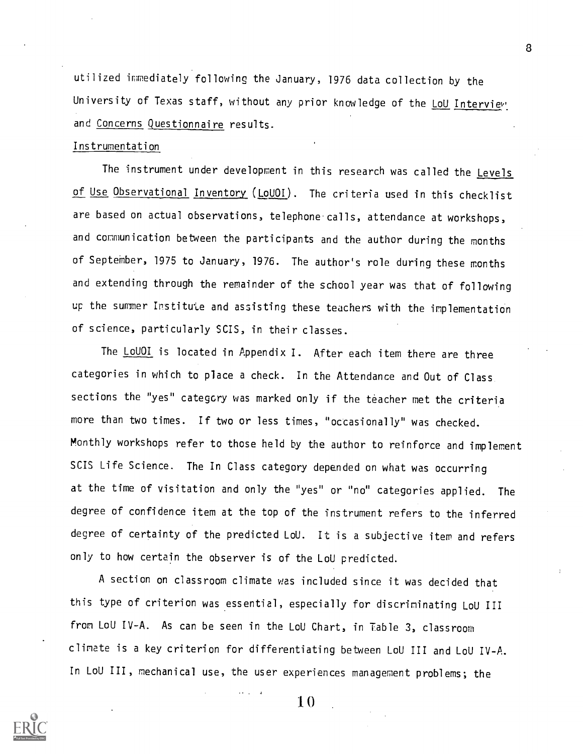utilized immediately following the January, 1976 data collection by the University of Texas staff, without any prior knowledge of the LoU Interview and Concerns Questionnaire results.

#### Instrumentation

The instrument under development in this research was called the Levels of Use Observational Inventory (LoUOI). The criteria used in this checklist are based on actual observations, telephone calls, attendance at workshops, and communication between the participants and the author during the months of September, 1975 to January, 1976. The author's role during these months and extending through the remainder of the school year was that of following up the summer Institute and assisting these teachers with the implementatiOn of science, particularly SCIS, in their classes.

The LoUOI is located in Appendix I. After each item there are three categories in which to place a check. In the Attendance and Out of Class sections the "yes" category was marked only if the teacher met the criteria more than two times. If two or less times, "occasionally" was checked. Monthly workshops refer to those held by the author to reinforce and implement SCIS Life Science. The In Class category depended on what was occurring at the time of visitation and only the "yes" or "no" categories applied. The degree of confidence item at the top of the instrument refers to the inferred degree of certainty of the predicted LoU. It is a subjective item and refers only to how certain the observer is of the LoU predicted.

A section on classroom climate was included since it was decided that this type of criterion was essential, especially for discriminating LoU III from LoU IV-A. As can be seen in the LoU Chart, in Table 3, classroom climate is a key criterion for differentiating between Loll III and LoU IV-A. In LoU III, mechanical use, the user experiences management problems; the



10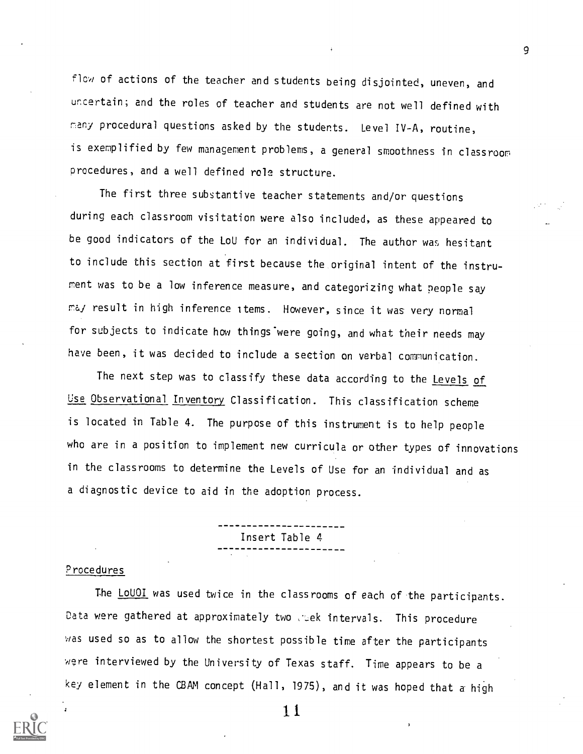flow of actions of the teacher and students being disjointed, uneven, and uncertain; and the roles of teacher and students are not well defined with nany procedural questions asked by the students. Level IV-A, routine, is exemplified by few management problems, a general smoothness in classroom procedures, and a well defined role structure.

The first three substantive teacher statements and/or questions during each classroom visitation were also included, as these appeared to be good indicators of the LoU for an individual. The author was hesitant to include this section at first because the original intent of the instrument was to be a low inference measure, and categorizing what people say may result in high inference items. However, since it was very normal for subjects to indicate how things were going, and what their needs may have been, it was decided to include a section on verbal communication.

The next step was to classify these data according to the Levels of Use Observational Inventory Classification. This classification scheme is located in Table 4. The purpose of this instrument is to help people who are in a position to implement new curricula or other types of innovations in the classrooms to determine the Levels of Use for an individual and as a diagnostic device to aid in the adoption process.

Insert Table 4

#### Procedures

The LoUOI was used twice in the classrooms of each of the participants. Data were gathered at approximately two clek intervals. This procedure was used so as to allow the shortest possible time after the participants were interviewed by the University of Texas staff. Time appears to be a key element in the CBAM concept (Hall, 1975), and it was hoped that a high



11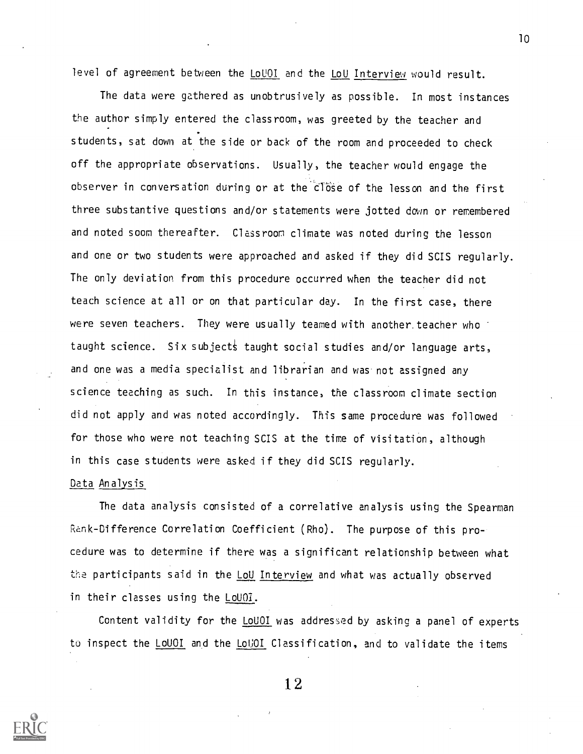level of agreement between the LoUOI and the LoU Interview would result.

The data were gathered as unobtrusively as possible. In most instances the author simply entered the classroom, was greeted by the teacher and students, sat down at the side or back of the room and proceeded to check off the appropriate observations. Usually, the teacher would engage the observer in conversation during or at the close of the lesson and the first three substantive questions and/or statements were jotted down or remembered and noted soom thereafter. Classroom climate was noted during the lesson and one or two students were approached and asked if they did SCIS regularly. The only deviation from this procedure occurred when the teacher did not teach science at all or on that particular day. In the first case, there were seven teachers. They were usually teamed with another teacher who taught science. Six subjects taught social studies and/or language arts, and one was a media specialist and librarian and was not assigned any science teaching as such. In this instance, the classroom climate section did not apply and was noted accordingly. This same procedure was followed for those who were not teaching SCIS at the time of visitation, although in this case students were asked if they did SCIS regularly.

#### Data Analysis

The data analysis consisted of a correlative analysis using the Spearman Rank-Difference Correlation Coefficient (Rho). The purpose of this procedure was to determine if there was a significant relationship between what the participants said in the LoU Interview and what was actually observed in their classes using the LoUOI.

Content validity for the LoUOI was addressed by asking a panel of experts to inspect the LoUOI and the LoUOI Classification, and to validate the items

10

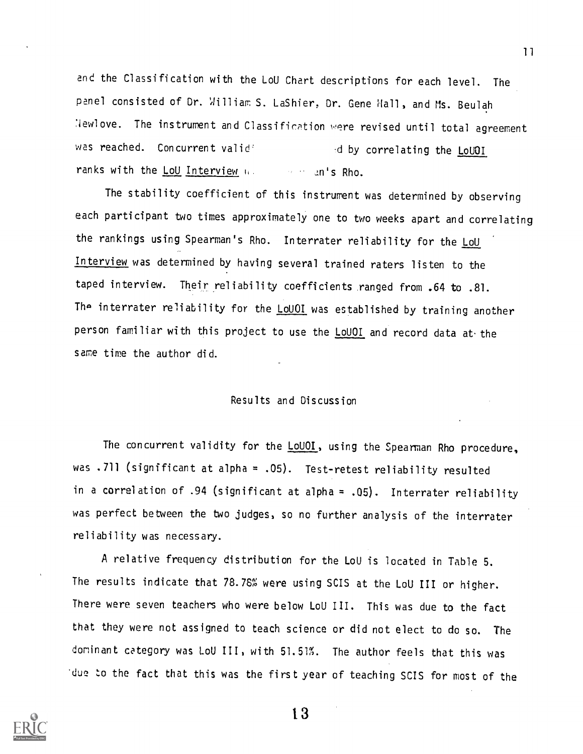and the Classification with the LoU Chart descriptions for each level. The panel consisted of Dr. William S. LaShier, Dr. Gene Hall, and Ms. Beulah Hewlove. The instrument and Classification were revised until total agreement was reached. Concurrent valid' by correlating the LoUOI ranks with the LoU Interview 1, and the lan's Rho.

The stability coefficient of this instrument was determined by observing each participant two times approximately one to two weeks apart and correlating the rankings using Spearman's Rho. Interrater reliability for the LoU Interview was determined by having several trained raters listen to the taped interview. Their reliability coefficients ranged from .64 to .81. The interrater reliability for the LoUOI was established by training another person familiar with this project to use the LoUOI and record data at the same time the author did.

#### Results and Discussion

The concurrent validity for the LoUOI, using the Spearman Rho procedure, was .711 (significant at alpha = .05). Test-retest reliability resulted in a correlation of .94 (significant at alpha = .05). Interrater reliability was perfect between the two judges, so no further analysis of the interrater reliability was necessary.

A relative frequency distribution for the LoU is located in Table 5. The results indicate that 78.78% were using SCIS at the LoU III or higher. There were seven teachers who were below LoU III. This was due to the fact that they were not assigned to teach science or did not elect to do so. The dominant category was LoU III, with 51.51%. The author feels that this was 'due to the fact that this was the first year of teaching SCIS for most of the



13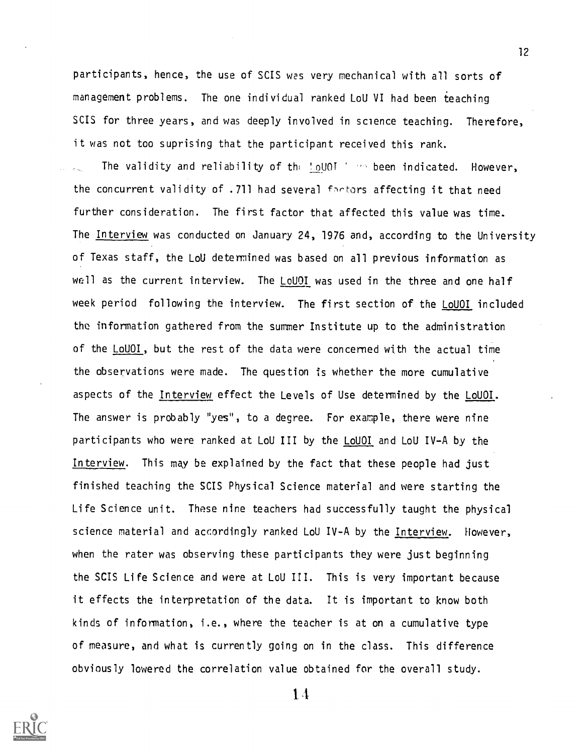participants, hence, the use of SCIS was very mechanical with all sorts of management problems. The one individual ranked LoU VI had been teaching SCIS for three years, and was deeply involved in science teaching. Therefore, it was not too suprising that the participant received this rank.

The validity and reliability of the  $L_0U0I$  been indicated. However, the concurrent validity of .711 had several factors affecting it that need further consideration. The first factor that affected this value was time. The Interview was conducted on January 24, 1976 and, according to the University of Texas staff, the LoU determined was based on all previous information as well as the current interview. The LoUOI was used in the three and one half week period following the interview. The first section of the LoUOI included the information gathered from the summer Institute up to the administration of the LoUOI, but the rest of the data were concerned with the actual time the observations were made. The question is whether the more cumulative aspects of the Interview effect the Levels of Use determined by the LoUOI. The answer is probably "yes", to a degree. For example, there were nine participants who were ranked at LoU III by the LoUOI and LoU IV-A by the Interview. This may be explained by the fact that these people had just finished teaching the SCIS Physical Science material and were starting the Life Science unit. These nine teachers had successfully taught the physical science material and accordingly ranked LoU IV-A by the Interview. However, when the rater was observing these participants they were just beginning the SCIS Life Science and were at LoU III. This is very important because it effects the interpretation of the data. It is important to know both kinds of information, i.e., where the teacher is at on a cumulative type of measure, and what is currently going on in the class. This difference obviously lowered the correlation value obtained for the overall study.



1 4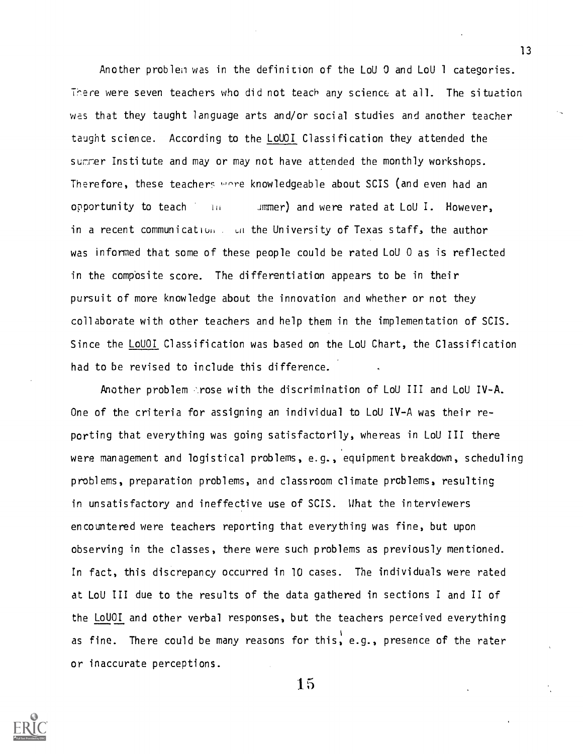Another problen was in the definition of the LoU 0 and LoU 1 categories. There were seven teachers who did not teach any science at all. The situation was that they taught language arts and/or social studies and another teacher taught science. According to the LoUOI Classification they attended the surrer Institute and may or may not have attended the monthly workshops. Therefore, these teachers wore knowledgeable about SCIS (and even had an opportunity to teach Ili Immer) and were rated at LoU I. However, in a recent communication  $\ldots$  on the University of Texas staff, the author was informed that some of these people could be rated LoU 0 as is reflected in the compbsite score. The differentiation appears to be in their pursuit of more knowledge about the innovation and whether or not they collaborate with other teachers and help them in the implementation of SCIS. Since the LoUOI Classification was based on the LoU Chart, the Classification had to be revised to include this difference.

Another problem trose with the discrimination of LoU III and LoU IV-A. One of the criteria for assigning an individual to LoU IV-A was their reporting that everything was going satisfactorily, whereas in LoU III there were management and logistical problems, e.g., equipment breakdown, scheduling prbblems, preparation problems, and classroom climate prcblems, resulting in unsatisfactory and ineffective use of SCIS. What the interviewers encountered were teachers reporting that everything was fine, but upon observing in the classes, there were such problems as previously mentioned. In fact, this discrepancy occurred in 10 cases. The individuals were rated at LoU III due to the results of the data gathered in sections I and II of the LoUOI and other verbal responses, but the teachers perceived everything as fine. There could be many reasons for this, e.g., presence of the rater or inaccurate perceptions.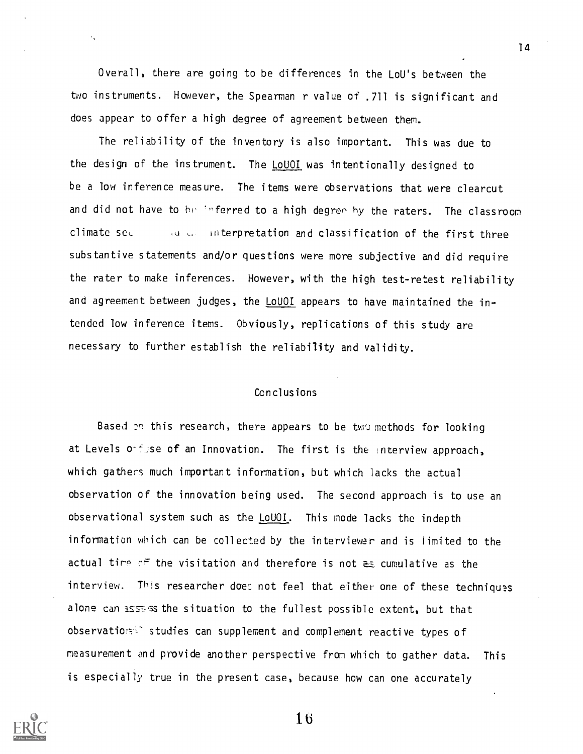Overall, there are going to be differences in the LoU's between the two instruments. However, the Spearman r value of .711 is significant and does appear to offer a high degree of agreement between them.

The reliability of the inventory is also important. This was due to the design of the instrument. The LoUOI was intentionally designed to be a low inference measure. The items were observations that were clearcut and did not have to he inferred to a high degree by the raters. The classroom climate secuse in unital interpretation and classification of the first three substantive statements and/or questions were more subjective and did require the rater to make inferences. However, with the high test-retest reliability and agreement between judges, the LoUOI appears to have maintained the intended low inference items. Obviously, replications of this study are necessary to further establish the reliability and validity.

#### Cenclusions

Based on this research, there appears to be two methods for looking at Levels of ise of an Innovation. The first is the interview approach, which gathers much important information, but which lacks the actual observation of the innovation being used. The second approach is to use an observational system such as the LoUOI. This mode lacks the indepth information which can be collected by the intervievar and is limited to the actual tire of the visitation and therefore is not  $\equiv$  cumulative as the interview. This researcher does not feel that either one of these techniques alone can 75S the situation to the fullest possible extent, but that observatior. Itudies can supplement and complement reactive types of measurement and provide another perspective from which to gather data. This is especially true in the present case, because how can one accurately



 $16$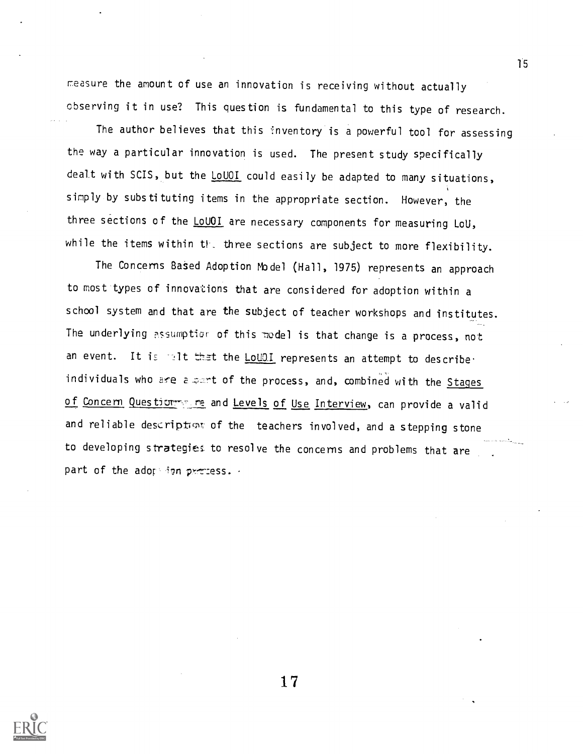reasure the amount of use an innovation is receiving without actually observing it in use? This question is fundamental to this type of research.

The author believes that this inventory is a powerful tool for assessing the way a particular innovation is used. The present study specifically dealt with SCIS, but the LoUOI could easily be adapted to many situations, simply by substituting items in the appropriate section. However, the three sections of the LoUOI are necessary components for measuring LoU, while the items within  $t$ . three sections are subject to more flexibility.

The Concerns Based Adoption Model (Hall, 1975) represents an approach to most types of innovations that are considered for adoption within a school system and that are the subject of teacher workshops and institutes. The underlying assumption of this model is that change is a process, not an event. It is telt that the LoUOI represents an attempt to describe. individuals who are a part of the process, and, combined with the Stages of Concern Question re and Levels of Use Interview, can provide a valid and reliable description of the teachers involved, and a stepping stone to developing strategies to resolve the concerns and problems that are part of the adoption permiess.



17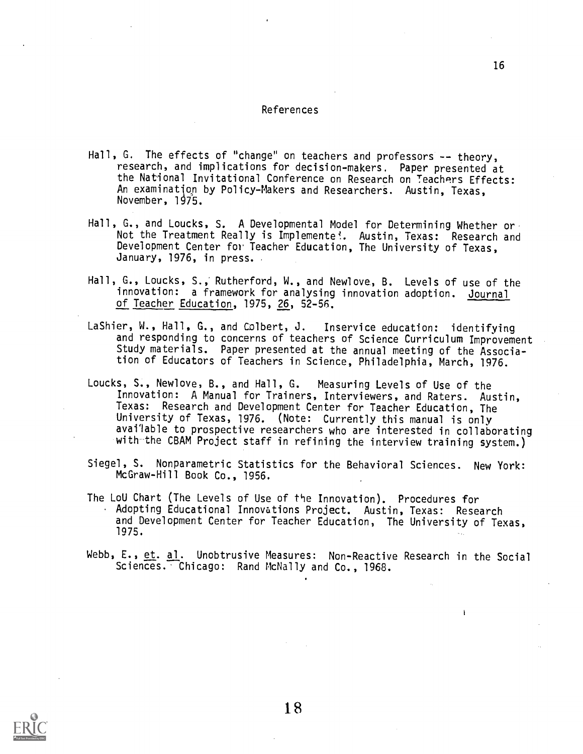#### References

- Hall, G. The effects of "change" on teachers and professors -- theory, research, and implications for decision-makers. Paper presented at the National Invitational Conference on Research on Teachers Effects: An examination by Policy-Makers and Researchers. Austin, Texas, November,  $1975.$
- Hall, G., and Loucks, S. A Developmental Model for Determining Whether or Not the Ireatment Really is Implemente . Austin, Texas: Research and Development Center for Teacher Education, The University of Texas, January, 1976, in press.
- Hall, G., Loucks, S., Rutherford, W., and Newlove, B. Levels of use of the innovation: a framework for analysing innovation adoption. Journal of Teacher Education, 1975, 26, 52-56.
- LaShier, W., Hall, G., and Colbert, J. Inservice education: identifying and responding to concerns of teachers of Science Curriculum Improvement Study materials. Paper presented at the annual meeting of the Association of Educators of Teachers in Science, Philadelphia, March, 1976.
- Loucks, S., Newlove, B., and Hall, G. Measuring Levels of Use of the Innovation: A Manual for Trainers, Interviewers, and Raters. Austin, Texas: Research and Development Center for Teacher Education, The University of Texas, 1976. (Note: Currently this manual is only available to prospective researchers who are interested in collaborating with the CBAM Project staff in refining the interview training system.)
- Siegel, S. Nonparametric Statistics for the Behavioral Sciences. New York: McGraw-Hill Book Co., 1956.
- The LoU Chart (The Levels of Use of the Innovation). Procedures for . Adopting Educational Innovations Project. Austin, Texas: Research and Development Center for Teacher Education, The University of Texas, 1975.
- Webb, E., et. al. Unobtrusive Measures: Non-Reactive Research in the Social Sciences. Chicago: Rand McNally and Co., 1968.



16

 $\mathbf{I}$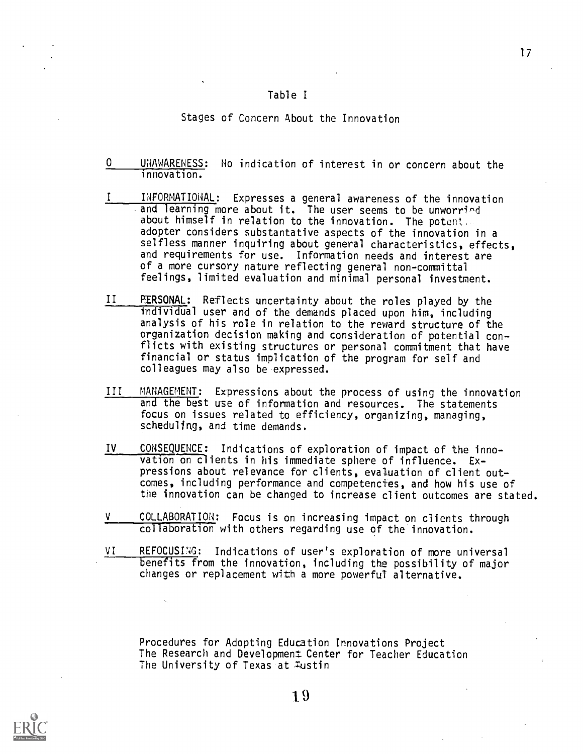#### Table I

#### Stages of Concern About the Innovation

- 0 UNAWARENESS: No indication of interest in or concern about the innovation.
- INFORMATIONAL: Expresses a general awareness of the innovation  $\bf{I}$ and learning more about it. The user seems to be unworried about himself in relation to the innovation. The potent... adopter considers substantative aspects of the innovation in a selfless manner inquiring about general characteristics, effects, and requirements for use. Information needs and interest are of a more cursory nature reflecting general non-committal feelings, limited evaluation and minimal personal investment.
- II PERSONAL: Reflects uncertainty about the roles played by the tndividual user and of the demands placed upon him, including analysis of his role in relation to the reward structure of the organization decision making and consideration of potential conflicts with existing structures or personal commitment that have financial or status implication of the program for self and colleagues may also be expressed.
- III MANAGEMENT: Expressions about the process of using the innovation and the best use of information and resources. The statements focus on issues related to efficiency, organizing, managing, scheduling, and time demands.
- IV CONSEQUENCE: Indications of exploration of impact of the innovation on clients in his immediate sphere of influence. Expressions about relevance for clients, evaluation of client outcomes, including performance and competencies, and how his use of the innovation can be changed to increase client outcomes are stated.
- COLLABORATION: Focus is on increasing impact on clients through collaboration with others regarding use of the innovation.
- VI REFOCUSING: Indications of user's exploration of more universal benefits from the innovation, including the possibility of major changes or replacement with a more powerful alternative.

Procedures for Adopting Education Innovations Project The Research and Development Center for Teacher Education The University of Texas at <sub>Tustin</sub>

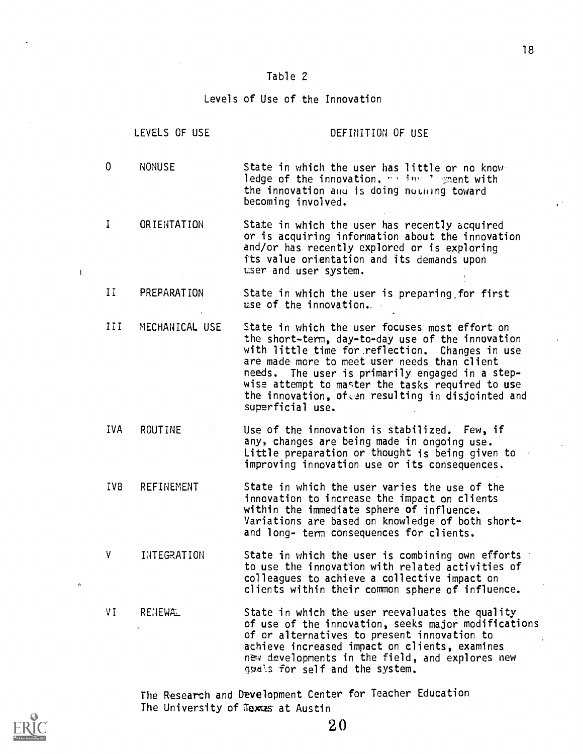### Table 2

Levels of Use of the Innovation

|                 | LEVELS OF USE       | DEFINITION OF USE                                                                                                                                                                                                                                                                                                                                                                     |
|-----------------|---------------------|---------------------------------------------------------------------------------------------------------------------------------------------------------------------------------------------------------------------------------------------------------------------------------------------------------------------------------------------------------------------------------------|
| 0               | <b>NONUSE</b>       | State in which the user has little or no know-<br>ledge of the innovation, medan 1 gment with<br>the innovation and is doing nothing toward<br>becoming involved.                                                                                                                                                                                                                     |
| Ι               | <b>OR IENTATION</b> | State in which the user has recently acquired<br>or is acquiring information about the innovation<br>and/or has recently explored or is exploring<br>its value orientation and its demands upon<br>user and user system.                                                                                                                                                              |
| II              | PREPARATION         | State in which the user is preparing for first<br>use of the innovation.                                                                                                                                                                                                                                                                                                              |
| III             | MECHANICAL USE      | State in which the user focuses most effort on<br>the short-term, day-to-day use of the innovation<br>with little time for reflection. Changes in use<br>are made more to meet user needs than client<br>needs. The user is primarily engaged in a step-<br>wise attempt to master the tasks required to use<br>the innovation, often resulting in disjointed and<br>superficial use. |
| <b>IVA</b>      | <b>ROUTINE</b>      | Use of the innovation is stabilized. Few, if<br>any, changes are being made in ongoing use.<br>Little preparation or thought is being given to $\rightarrow$<br>improving innovation use or its consequences.                                                                                                                                                                         |
| IV <sub>B</sub> | REFINEMENT          | State in which the user varies the use of the<br>innovation to increase the impact on clients<br>within the immediate sphere of influence.<br>Variations are based on knowledge of both short-<br>and long- term consequences for clients.                                                                                                                                            |
| ٧               | INTEGRATION         | State in which the user is combining own efforts<br>to use the innovation with related activities of<br>colleagues to achieve a collective impact on<br>clients within their common sphere of influence.                                                                                                                                                                              |
| VI              | <b>RENEWAL</b>      | State in which the user reevaluates the quality<br>of use of the innovation, seeks major modifications<br>of or alternatives to present innovation to<br>achieve increased impact on clients, examines<br>new developments in the field, and explores new<br>quals for self and the system.                                                                                           |

The Research and Development Center for Teacher Education The University of Texas at Austin



 $\mathbf{I}$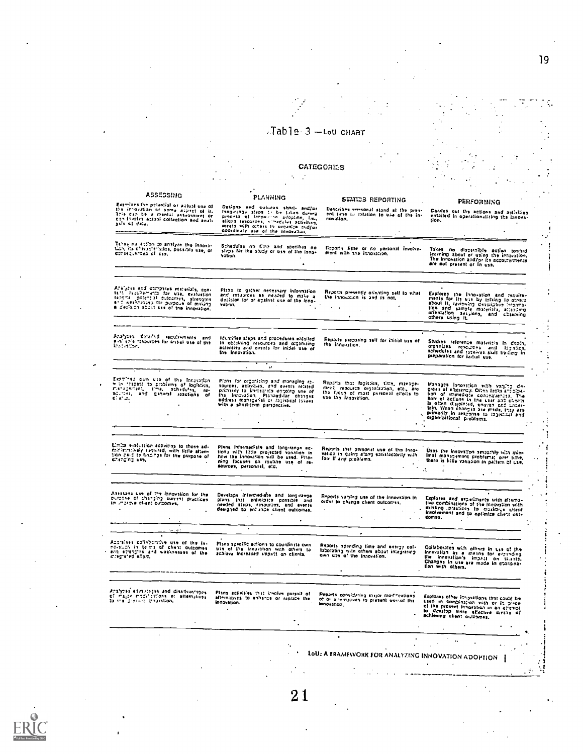### Table 3 - Lou CHART

#### CATEGORIES

| ASSESSING                                                                                                                                                                                              | <b>PLANNING</b>                                                                                                                                                                                                                           |                                                                                                                                                 |                                                                                                                                                                                                                                                                                                                           |
|--------------------------------------------------------------------------------------------------------------------------------------------------------------------------------------------------------|-------------------------------------------------------------------------------------------------------------------------------------------------------------------------------------------------------------------------------------------|-------------------------------------------------------------------------------------------------------------------------------------------------|---------------------------------------------------------------------------------------------------------------------------------------------------------------------------------------------------------------------------------------------------------------------------------------------------------------------------|
| Estrologistive potential or actual use of<br>the innovation or some aspect of it.<br>This can be a mental assessment or<br>ean involve actual collection and anal-<br>gais et data.                    | Designs and outwars short- and/or<br>long-rings steps to be tiken during<br>process of innovering adopting, I.m.,<br>aligns resources, athedular activities,<br>meets with others to organize and/or<br>coordinate use of the innovation, | STATES REPORTING<br>Describes personal stand at the pres-<br>ent time to relation to use of the in-<br>novation.                                | PERFORMING<br>Carries out the actions and activities<br>entailed in operationalizing the Innova-<br>tion.                                                                                                                                                                                                                 |
| Teres no estion to analyze the innova-<br>tion, its characteristics, possible use, or<br>ostalvendes of use.                                                                                           | Schedules no time and specifies no<br>steps for the study or use of the inno-<br>vation.                                                                                                                                                  | Reports little at no personal involve-<br>ment with the innovation.                                                                             | Takes no discarnible action toward<br>learning about or using the innovation.<br>The innovation and/or its accoutements<br>are not present or in use.                                                                                                                                                                     |
| Analyzas and etmosies materials, con-<br>astro-rauphements for usa, evaluation<br>record potential butcomes, strengins<br>and weakness for purpose of making<br>a declica socialist of the innovation. | Plans to gather necessary information<br>and resources as needed to make a<br>decision for or against use of the Inno-<br>valion.                                                                                                         | Reports presently orienting self to what<br>the innovation is and is not.                                                                       | Explores the Innovation and require-<br>about It, raviswing descriptive informa-<br>tion and sample materials, attending<br>others using it.                                                                                                                                                                              |
| Analyzas Cotarisd requirements and<br>ain'inia ratources for initial use of the<br>in an an an a                                                                                                       | Identifies steps and procedures entailed.<br>In obtaining resources and organizing<br>the Innovation.<br>œ                                                                                                                                | Reports preparing sell for initial use of<br>the innovation.                                                                                    | Studies reference materials in depth,<br>organizes resources and inpistion,<br>schedules and raceives skill tracing in<br>preparation for initial use.                                                                                                                                                                    |
| Exertise can use of the Innovation<br>win respect to problems of logistics,<br>rations that schedules, re-<br>scartes, and general reactions of<br>ci et 11.                                           | Plans for organizing and managing re-<br>sources, activities, and events related<br>tha Innovation. Planned-for changes<br>address manegerial or logistical issues<br>with a short-term parspective.                                      | Reports that logistics, time, manage-<br>ment, resource organization, etc., are<br>the focus of most personal efforts to<br>use the Innovation. | Manages Innovation with varying da-<br>greas of elimency. Often lacks anticipa-<br>tion of immediate consequences. The<br>Row of actions in the usar and chents<br>is often disjointed, uneven and unper-<br>tain. Woon changes are made, they are<br>primarily in response to logistical and<br>erganizational problems. |
| Limits evaluation activities to those ad-<br>minimum-leav randred, with tittle atten-<br>tion 24/2 to findings for the purpose of<br>chercier uss,                                                     | Plans Informediate and Iong-range ac-<br>tions with little projected variation in<br>how the innovation will be used. Plan-<br>ning focuses on routine use of re-<br>sources, personnel, etc.                                             | Reports that personal use of the inag-<br>vation is caing along satisfactorily with<br>fow if any problems.                                     | Uses the innovation smeathly with min-<br>lmat management problemat over time.<br>there is little variation in pattern of use.                                                                                                                                                                                            |
| anssays use of the innovation for the<br>putotie of changing current practices<br>to unarove plient putcomes,                                                                                          | Develops Intermediate and long-range<br>plans that anticipate possible and<br>needed staps, rasources, and events<br>designed to enhance client outcomes.                                                                                 | Reports varying use of the Innovation In<br>order to change chent outcomes.                                                                     | Explores and experiments with alterna-<br>tive combinations of the Innovation with<br>existing practices to maximics client<br>involvement and to optimize client out-<br>Comes,                                                                                                                                          |
| Acomissa collectribe use of the in-<br>no-auto in terms of chest outcomes<br>and attending and weaknesses of the<br>story sted allow.                                                                  | Plans apecific actions to coordinate own<br>use of the landsation with others to<br>achieve increased impact on clients.                                                                                                                  | Reports spending time and energy col-<br>laborating with others about integrating<br>awn use at the innovation.                                 | Collaborates with others in use of the<br>innovation as a mesns for erranding<br>the innovation's impact on suants.<br>Changes in use are made in esordina-<br>Eon with others.                                                                                                                                           |
| Analyzasi edirilitagen und disadvantigos<br>of major medilations or alternalives<br>Ed major medilations or alternalives                                                                               | Plans activities that involve pursuit of<br>afternatives to enhance or raplace the<br>innovation.                                                                                                                                         | Reports considering major modifications.<br>of or alleinatives to present useful the<br>innovation.                                             | Explores other innovations that could be<br>used in combination with or in place<br>of the present innovation in an arren<br>to develop more affective mesha of<br>achieving client outcomes.                                                                                                                             |
|                                                                                                                                                                                                        |                                                                                                                                                                                                                                           |                                                                                                                                                 |                                                                                                                                                                                                                                                                                                                           |
|                                                                                                                                                                                                        |                                                                                                                                                                                                                                           | LOU: A FRAMEWORK FOR ANALYZING INNOVATION ADOPTION                                                                                              |                                                                                                                                                                                                                                                                                                                           |
|                                                                                                                                                                                                        |                                                                                                                                                                                                                                           |                                                                                                                                                 |                                                                                                                                                                                                                                                                                                                           |
|                                                                                                                                                                                                        |                                                                                                                                                                                                                                           |                                                                                                                                                 |                                                                                                                                                                                                                                                                                                                           |

ER

19

÷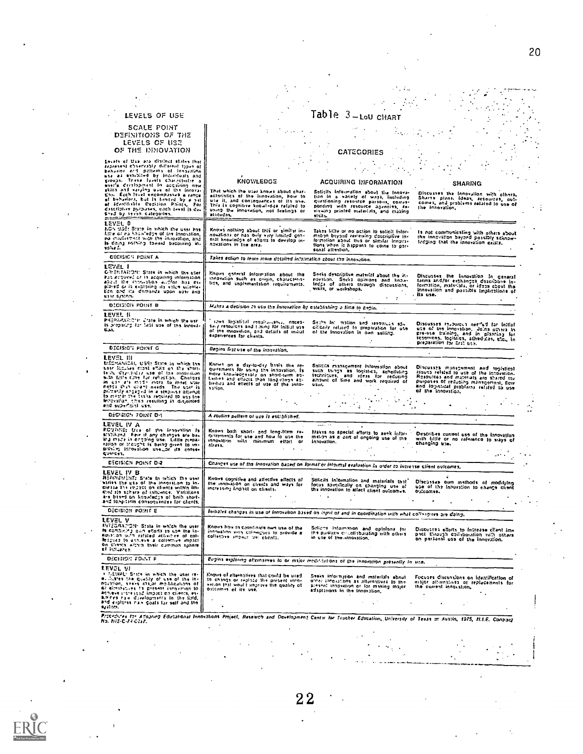| LEVELS OF USE                                                                                                                           |                                                                                     | Table 3-Lou charr                                                                                             |                                                                                     |  |
|-----------------------------------------------------------------------------------------------------------------------------------------|-------------------------------------------------------------------------------------|---------------------------------------------------------------------------------------------------------------|-------------------------------------------------------------------------------------|--|
| SCALE POINT                                                                                                                             |                                                                                     |                                                                                                               |                                                                                     |  |
| DEFINITIONS OF THE                                                                                                                      |                                                                                     |                                                                                                               |                                                                                     |  |
| LEVELS OF USE                                                                                                                           |                                                                                     |                                                                                                               |                                                                                     |  |
| OF THE INNOVATION                                                                                                                       |                                                                                     | <b>CATEGORIES</b>                                                                                             |                                                                                     |  |
| Levels of this ara distinct states that                                                                                                 |                                                                                     |                                                                                                               |                                                                                     |  |
| gepresent chsecrably diffrent types of<br>behavior and pollerns of innavaling                                                           |                                                                                     |                                                                                                               |                                                                                     |  |
| usa as anhibited by individuals and<br>groups. These favels characterize a                                                              |                                                                                     |                                                                                                               |                                                                                     |  |
| wen entitious of Investories after                                                                                                      | KNOWLEDGE                                                                           | ACQUIRING INFORMATION                                                                                         | SHARING                                                                             |  |
| skills and varying use of the Innova-<br>gon. Each lovel encompassed a range                                                            | That which the user knows about char-<br>actaristics of the innovation, how to      | Solicity Information about the Innova-<br>tion in a variety of ways, including                                | Discusses the Innovation with others.                                               |  |
| of behaviors, but is binded by a set<br>of identificate Decision Paints, For                                                            | use it, and consequences of its use.<br>This is countine knowledge related to       | questioning resource parsons, corres-<br>ponding with resource agencies, re-                                  | Sharts plans, Ideas, resources, out-<br>comes, and problems related to use of       |  |
| discriptive purposes, each textl is de-<br>Gned by saven categories.                                                                    | using the innovation, not feelings or<br>attitudas.                                 | viswing printed materials, and making                                                                         | the innovation,                                                                     |  |
| LEVEL 0                                                                                                                                 |                                                                                     | sisits.                                                                                                       |                                                                                     |  |
| NGN USE: State in which the user has                                                                                                    | Knows nothing about this or similar in-                                             | Takes little or no action to solicit infor-                                                                   |                                                                                     |  |
| little of as knowledge of the innovation,<br>no involvement with the initiation, and                                                    | novations or has only viry limited gen-<br>eral knowledge of efforts to develop in- | mation beyond reviewing descriptive in-                                                                       | Is not communicating with others about<br>the innovation beyond possibly acknow-    |  |
| is doing ricthing toward becoming in.<br>volva št                                                                                       | novations in the ereal                                                              | formation about this or similar innova-<br>tions when it happens to come to per-                              | ledging that the innovation exists.                                                 |  |
| <b>CECISIC'S POINT A</b>                                                                                                                |                                                                                     | sonal attention,                                                                                              |                                                                                     |  |
| LEVEL 1                                                                                                                                 | Takes action to learn more detailed information about the innovation.               |                                                                                                               |                                                                                     |  |
| GRIENTATION: State in which the user                                                                                                    | Edit tuods nottematint terenen evantt                                               | Seeks descriptive material about the in-                                                                      |                                                                                     |  |
| has acquired or in acquiring information.<br>about the interaction and/or has go-                                                       | innovation such as origin, characteris-<br>tics, and implementation requirements.   | novation. Seeks opinions and know-                                                                            | Discusses the Innovation In general                                                 |  |
| plaind or it exalating its value original.<br>Edn and its demands upon user and                                                         |                                                                                     | tedga of others through discussions.<br>visits, or workshops,                                                 | formation, materials, or ideas ebout the<br>Innovation and possible Implications of |  |
| ESSE 5/5000.                                                                                                                            |                                                                                     |                                                                                                               | its use.                                                                            |  |
| DECISION POINT B                                                                                                                        | Makes a decision to uso the Innovation by establishing a time to begin.             |                                                                                                               |                                                                                     |  |
| LEVEL <b>II</b>                                                                                                                         |                                                                                     |                                                                                                               |                                                                                     |  |
| PREPARATION: 2nate in which the usr.                                                                                                    | lews legistical requirements, naces-<br>saily resources and I ming for Initial use. | Sechs Int. motion and resources spe                                                                           | Discusses resources neemed for Initial                                              |  |
| tial.                                                                                                                                   | of the mnovation, and details of initial<br>experiences for clients.                | dificuly related to preparation for use<br>of the innovation in own solling.                                  | use of the innovation. Joins others in<br>pre-use training, and in planning for     |  |
|                                                                                                                                         |                                                                                     |                                                                                                               | resources, logistics, schedules, cle., in<br>preparation for Erst box.              |  |
| DICISION POINT C                                                                                                                        | Begins first use of the innovation,                                                 |                                                                                                               |                                                                                     |  |
| LEVEL III                                                                                                                               |                                                                                     |                                                                                                               |                                                                                     |  |
| MECHANICAL USE: State in which the<br>tiv Mouses most effort on the short-                                                              | Knows on a day-to-day basis the re-<br>quirements for using the innovation. Is      | Solicits management information about                                                                         | Discusses management and togistical                                                 |  |
| tein, day-recty use of the mnovision<br>with Note Come for refraction. Changes                                                          | more knowledgeroly on short-term ac-<br>tivities and offects than tong-ronge as-    | such laings as logistics, scheduling<br>techniques, and ideas for reducing                                    | issues related to use of the innovation.<br>Resources and materials are shared tor  |  |
| in ush als mode indre to meet usur<br>easts that chart needs. The user is                                                               | livities and effects of use of the inno-                                            | amount of time and work required of<br>usar.                                                                  | purposes of reducing management, flow<br>and logistical problems related to use     |  |
| printerily angeged in a stepmes attempt<br>to mentin the tasks required to uss the                                                      | vation.                                                                             |                                                                                                               | of the innovation.                                                                  |  |
| innovation, nitran vesulting in disjointed<br>and separities use.                                                                       |                                                                                     |                                                                                                               |                                                                                     |  |
| DECISION 70INT DIT                                                                                                                      |                                                                                     |                                                                                                               |                                                                                     |  |
| LEVEL IV A                                                                                                                              | A roulins pattern of use is established.                                            | الأدار والمعما                                                                                                | $\ddot{\phantom{1}}$                                                                |  |
| ECUTINE: Use of the innovation is                                                                                                       | Knows both short- and long-form ra-                                                 | Makes no special ofterts to seek infor-                                                                       |                                                                                     |  |
| ing made in engoing use. Little piepa-                                                                                                  | diviraments for use and how to use the<br>innovation with minimum effort or         | mation as a part of ongoing use of the<br>innovation.                                                         | Describes current use of the innovation<br>with little or no raference to srays of  |  |
| eation of thought is being given to im-<br>proving introvation use or its conse-                                                        | 457455.                                                                             |                                                                                                               | changing use.                                                                       |  |
| Cuincan,                                                                                                                                |                                                                                     |                                                                                                               |                                                                                     |  |
| DECISION POINT D-2                                                                                                                      |                                                                                     | Changes use of the innovation based on formal or informal evaluation in order to increase client outcomes.    |                                                                                     |  |
| LEVEL IV B                                                                                                                              |                                                                                     |                                                                                                               |                                                                                     |  |
| RifinantinT: State In which the user<br>varies the use of the innovation to in-                                                         | Knows cognitive and attective effects of<br>the innovation on clients and ways for  | Soticits information and materials that                                                                       | Discusses own mathods of modifying                                                  |  |
| cierza the impact on clients within Im-<br>Cod 119 schara of influence. Variations                                                      | increasing impact on clients.                                                       | focus specifically on changing use of<br>the innovation to atlact client outcomes.                            | use of the innovation to change client<br>Outcomes.                                 |  |
| are based on knowledge of both short-<br>and tong-tarm consequences for clients,                                                        |                                                                                     |                                                                                                               |                                                                                     |  |
| DECISION POINT E                                                                                                                        |                                                                                     |                                                                                                               |                                                                                     |  |
| EVEL V                                                                                                                                  |                                                                                     | failibles changes in use of langvalion based on input of and in coordination with what collectives are daing. |                                                                                     |  |
| PrillORATION: State in which the user                                                                                                   | Knows how to coordinate own use of the                                              | Setions information and opinions for                                                                          |                                                                                     |  |
| is combining own efforts to use the in-<br>mavelon win refaled activities of col-                                                       | innovation with colonizies to provide a<br>collective impact that chenic.           | the purture or collaborating with others                                                                      | Discusses elloits to Increase client Im-<br>pact through collaboration with others  |  |
| fergues to anniere a collective implict<br>On clients within their cummon sphere                                                        |                                                                                     | in use of the innovation.                                                                                     | on personal use of the innovation.                                                  |  |
| et intiares.                                                                                                                            |                                                                                     |                                                                                                               |                                                                                     |  |
| DECISION POINT F                                                                                                                        |                                                                                     | Begins exploring alternatives to be major medifications of the innovation prosently in use.                   |                                                                                     |  |
| LEVEL VI                                                                                                                                |                                                                                     |                                                                                                               |                                                                                     |  |
| t hillfull. Share in which the user re-<br>evillates the quality of use of the in-                                                      | Early ed Elien zives that could be used.                                            | Seeks information and materials about                                                                         | Fecuses discussions on identification of                                            |  |
| haration, seeils major modifications of                                                                                                 | to change or replace the present inno-<br>vellon that would improve the quality of  | other innosations as alternatives to the<br>present incovation or for making major                            | major altorotilisas of replacements for<br>the current innovation,                  |  |
| at alministrys to present innovation to                                                                                                 | outcomes of its use.                                                                | adsplanons in the innovation,                                                                                 |                                                                                     |  |
|                                                                                                                                         |                                                                                     |                                                                                                               |                                                                                     |  |
| acqueve increasad impuct on otients, ex-<br>amines raw divelopments in the field,<br>and explores naw goals for self and the<br>system. | $\blacksquare$                                                                      | $\sim$                                                                                                        |                                                                                     |  |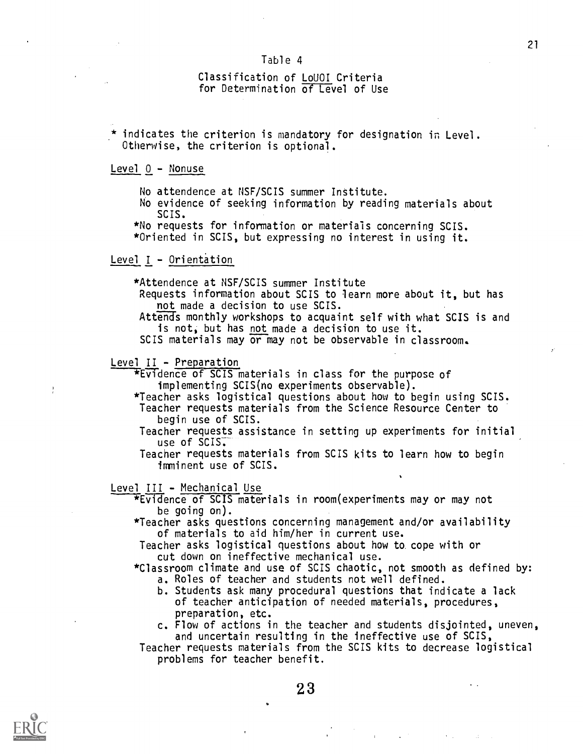#### Classification of LoUOI Criteria for Determination of Level of Use

.\* indicates the criterion is mandatory for designation in Level. Otherwise, the criterion is optional.

#### Level 0 - Nonuse

No attendence at NSF/SCIS summer Institute.

- No evidence of seeking information by reading materials about SCIS.
- \*No requests for information or materials concerning SCIS.

\*Oriented in SCIS, but expressing no interest in using it.

#### Level  $I -$  Orientation

\*Attendence at NSF/SCIS summer Institute

Requests information about SCIS to learn more about it, but has not made a decision to use SCIS.

Attends monthly workshops to acquaint self with what SCIS is and is not, but has not made a decision to use it. SCIS materials may or may not be observable in classroom.

#### Level II - Preparation

\*EVIdence of SCIS materials in class for the purpose of implementing SCIS(no experiments observable).

- \*Teacher asks logistical questions about how to begin using SCIS. Teacher requests materials from the Science Resource Center to
	- begin use of SCIS.
- Teacher requests assistance in setting up experiments for initial use of SCIS.

Teacher requests materials from SCIS kits to learn how to begin imminent use of SCIS.

Level III - Mechanical Use

- \*Evidence of SCIS materials in room(experiments may or may not be going on).
- \*Teacher asks questions concerning management and/or availability of materials to aid him/her in current use.

Teacher asks logistical questions about how to cope with or cut down on ineffective mechanical use.

\*Classroom climate and use of SCIS chaotic, not smooth as defined by:

- a. Roles of teacher and students not well defined.
- b. Students ask many procedural questions that indicate a lack of teacher anticipation of needed materials, procedures, preparation, etc.
- c. Flow of actions in the teacher and students disjointed, uneven, and uncertain resulting in the ineffective use of SCIS,

Teacher requests materials from the SCIS kits to decrease logistical problems for teacher benefit.

21



 $\cdot$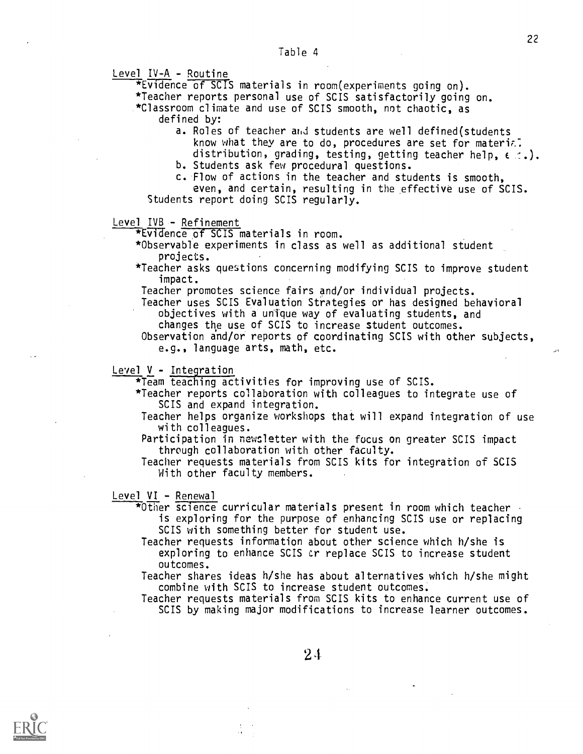Table 4

Level IV-A - Routine

\*Evidence of SCIS materials in room(experiments going on).

\*Teacher reports personal use of SCIS satisfactorily going on.

- \*Classroom climate and use of SCIS smooth, not chaotic, as defined by:
	- a. Roles of teacher ahd students are well defined(students know what they are to do, procedures are set for materi $\tilde{c}$ . distribution, grading, testing, getting teacher help,  $\epsilon \leq \epsilon$ .
	- b. Students ask few procedural questions.
	- c. Flow of actions in the teacher and students is smooth,

even, and certain, resulting in the effective use of SCIS. Students report doing SCIS regularly.

Level IVB - Refinement

\*EVidence of SCIS materials in room.

- \*Observable experiments in class as well as additional student projects.
- \*Teacher asks questions concerning modifying SCIS to improve student impact.

Teacher promotes science fairs and/or individual projects.

Teacher uses SCIS Evaluation Strategies or has designed behavioral objectives with a unique way of evaluating students, and

changes the use of SCIS to increase student outcomes.

Observation and/or reports of coordinating SCIS with other subjects, e.g., language arts, math, etc.

Level V - Integration

\*Team teaching activities for improving use of SCIS.

- \*Teacher reports collaboration with colleagues to integrate use of SCIS and expand integration.
- Teacher helps organize workshops that will expand integration of use with colleagues.
- Participation in newsletter with the focus on greater SCIS impact through collaboration with other faculty.

Teacher requests materials from SCIS kits for integration of SCIS With other faculty members.

Level VI - Renewal

\*Other science curricular materials present in room which teacher is exploring for the purpose of enhancing SCIS use or replacing SCIS with something better for student use.

Teacher requests information about other science which h/she is exploring to enhance SCIS or replace SCIS to increase student outcomes.

Teacher shares ideas h/she has about alternatives which h/she might combine with SCIS to increase student outcomes.

Teacher requests materials from SCIS kits to enhance current use of SCIS by making major modifications to increase learner outcomes.

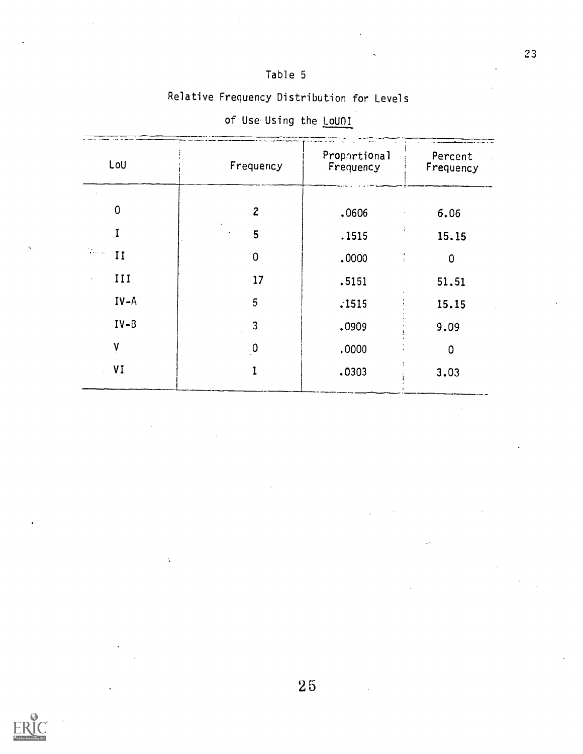### Table 5

### Relative Frequency Distribution for Levels

| Frequency               | Proportional<br>Frequency | Percent<br>Frequency |
|-------------------------|---------------------------|----------------------|
| $\mathbf{2}$            | .0606                     | 6.06                 |
| 5                       | .1515                     | 15.15                |
| 0                       | .0000                     | 0                    |
| 17                      | .5151                     | 51.51                |
| 5                       | .1515                     | 15.15                |
| 3                       | .0909                     | 9.09                 |
| $\overline{\mathbf{0}}$ | .0000                     | 0                    |
|                         | .0303                     | 3.03                 |
|                         |                           |                      |

### of Use Using the LoUOI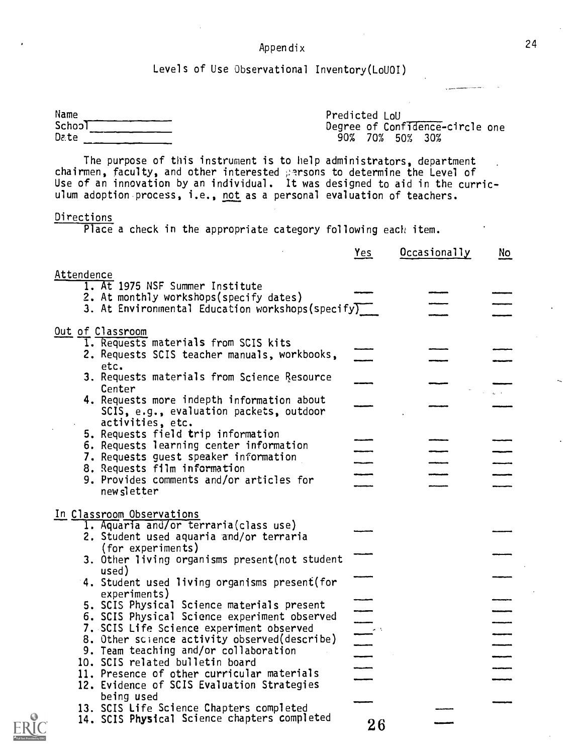#### Appendix

Levels of Use Observational Inventory(LoUOI)

| Name   | Predicted LoU          |                 |  |
|--------|------------------------|-----------------|--|
| School | Degree of Confidence-o |                 |  |
| Date   |                        | 90% 70% 50% 30% |  |

| Name   | Predicted LoU                   |
|--------|---------------------------------|
| School | Degree of Confidence-circle one |
| Date   | 90%<br>70% 50% 30%              |

The purpose of this instrument is to help administrators, department chairmen, faculty, and other interested  $\beta$  rsons to determine the Level of Use of an innovation by an individual. It was designed to aid in the curriculum adoption process, i.e., not as a personal evaluation of teachers.

#### Directions

Place a check in the appropriate category following each item.

|            |                                                                                                                                 | <b>Yes</b> | Occasionally | No |  |
|------------|---------------------------------------------------------------------------------------------------------------------------------|------------|--------------|----|--|
| Attendence |                                                                                                                                 |            |              |    |  |
|            | 1. At 1975 NSF Summer Institute<br>2. At monthly workshops (specify dates)<br>3. At Environmental Education workshops (specify) |            |              |    |  |
|            | Out of Classroom                                                                                                                |            |              |    |  |
|            | 1. Requests materials from SCIS kits<br>2. Requests SCIS teacher manuals, workbooks,<br>etc.                                    |            |              |    |  |
|            | 3. Requests materials from Science Resource<br>Center                                                                           |            |              |    |  |
|            | 4. Requests more indepth information about<br>SCIS, e.g., evaluation packets, outdoor<br>activities, etc.                       |            |              |    |  |
|            | 5. Requests field trip information                                                                                              |            |              |    |  |
|            | 6. Requests learning center information<br>7. Requests guest speaker information                                                |            |              |    |  |
|            | 8. Requests film information                                                                                                    |            |              |    |  |
|            | 9. Provides comments and/or articles for                                                                                        |            |              |    |  |
|            | newsletter                                                                                                                      |            |              |    |  |
|            | In Classroom Observations                                                                                                       |            |              |    |  |
|            | 1. Aquaria and/or terraria(class use)                                                                                           |            |              |    |  |
|            | 2. Student used aquaria and/or terraria                                                                                         |            |              |    |  |
|            | (for experiments)                                                                                                               |            |              |    |  |
|            | 3. Other living organisms present(not student                                                                                   |            |              |    |  |
|            | used)                                                                                                                           |            |              |    |  |
|            | 4. Student used living organisms present(for                                                                                    |            |              |    |  |
|            | experiments)                                                                                                                    |            |              |    |  |
|            | 5. SCIS Physical Science materials present<br>6. SCIS Physical Science experiment observed                                      |            |              |    |  |
|            | 7. SCIS Life Science experiment observed                                                                                        |            |              |    |  |
|            | 8. Other science activity observed (describe)                                                                                   |            |              |    |  |
|            | 9. Team teaching and/or collaboration                                                                                           |            |              |    |  |
|            | 10. SCIS related bulletin board                                                                                                 |            |              |    |  |
|            | 11. Presence of other curricular materials                                                                                      |            |              |    |  |
|            | 12. Evidence of SCIS Evaluation Strategies                                                                                      |            |              |    |  |
|            | being used                                                                                                                      |            |              |    |  |
|            | 13. SCIS Life Science Chapters completed                                                                                        |            |              |    |  |
|            | 14. SCIS Physical Science chapters completed                                                                                    | 26         |              |    |  |